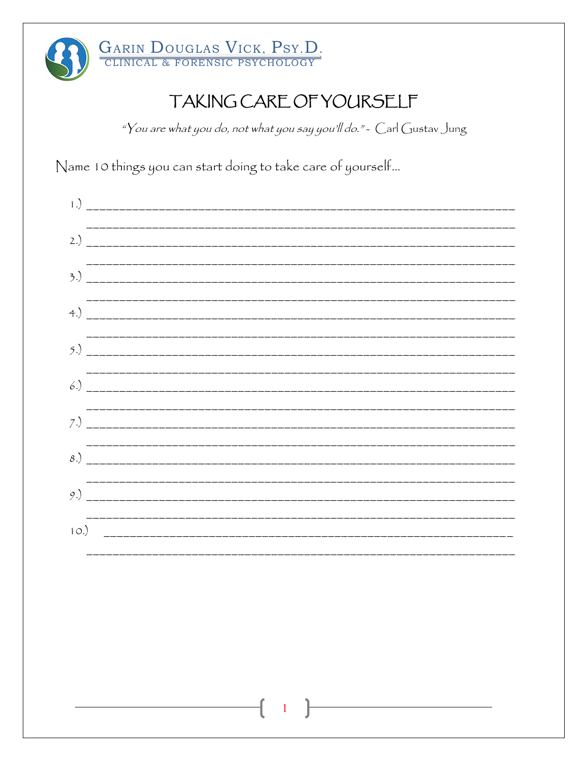

"You are what you do, not what you say you'll do." - Carl Gustav Jung

Name 10 things you can start doing to take care of yourself...

| $\left( \begin{array}{c} 1 \end{array} \right)$ |  |
|-------------------------------------------------|--|
| 2.)                                             |  |
|                                                 |  |
| $+$ .                                           |  |
|                                                 |  |
| 6.)                                             |  |
| 7.)                                             |  |
| 8.)                                             |  |
|                                                 |  |
| 10.)                                            |  |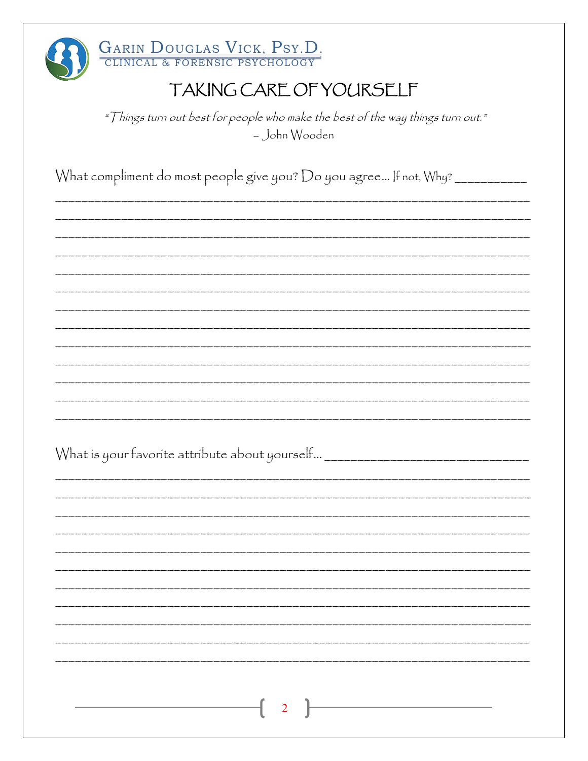| <b>GARIN DOUGLAS VICK, PSY.D.</b><br>CLINICAL & FORENSIC PSYCHOLOGY                              |
|--------------------------------------------------------------------------------------------------|
| TAKING CARE OF YOURSELF                                                                          |
| "Things turn out best for people who make the best of the way things turn out."<br>- John Wooden |
| What compliment do most people give you? Do you agree If not, Why? __________                    |
|                                                                                                  |
|                                                                                                  |
|                                                                                                  |
|                                                                                                  |
| What is your favorite attribute about yourself                                                   |
|                                                                                                  |
|                                                                                                  |
|                                                                                                  |
| $\overline{2}$                                                                                   |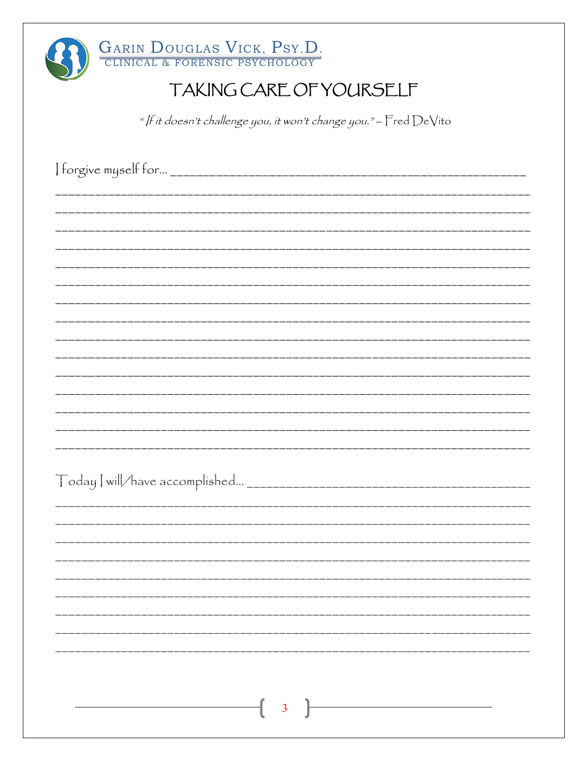

" |f it doesn't challenge you, it won't change you." - Fred DeVito

| $\overline{\mathbf{3}}$ |  |  |
|-------------------------|--|--|
|                         |  |  |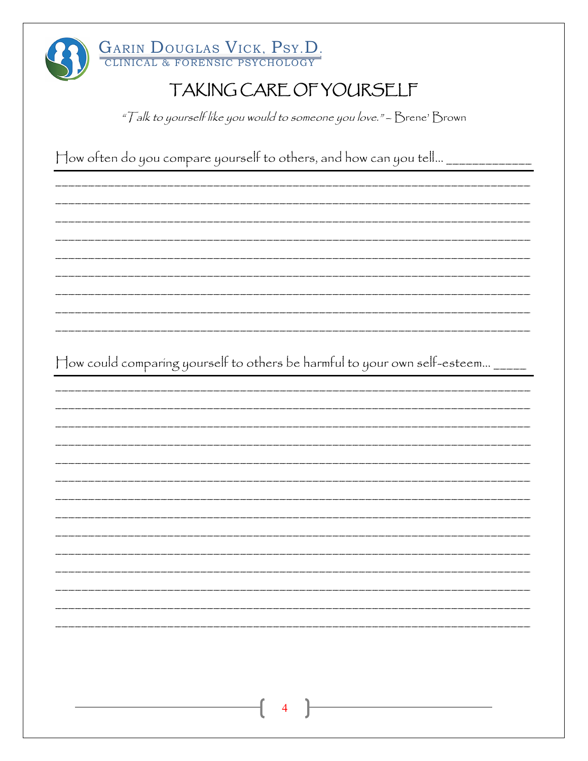

GARIN DOUGLAS VICK, PSY.D.

#### TAKING CARE OF YOURSELF

"Talk to yourself like you would to someone you love." - Brene' Brown

How often do you compare yourself to others, and how can you tell... \_\_\_\_\_\_\_\_

How could comparing yourself to others be harmful to your own self-esteem... \_\_\_\_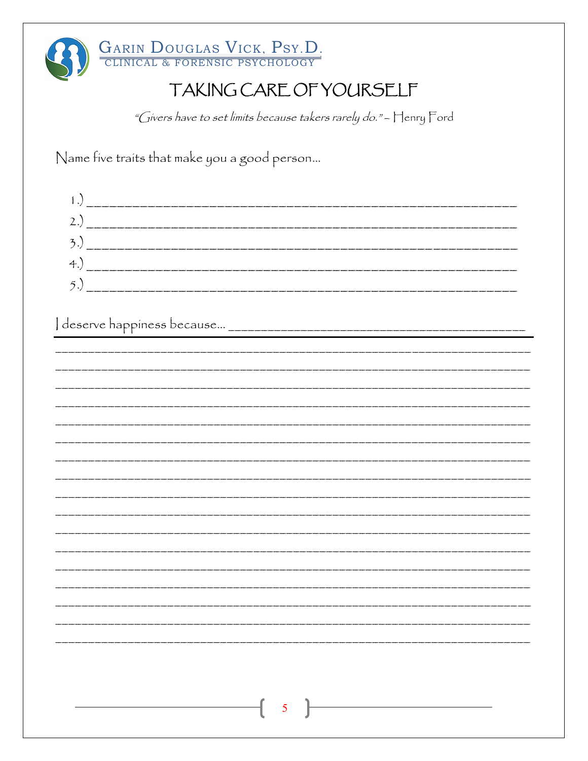

"Givers have to set limits because takers rarely do." - Henry Ford

Name five traits that make you a good person...

| $\left( 4. \right)$                                                                                                                                                                                                                                                                                                                                                                                                                                  |  |
|------------------------------------------------------------------------------------------------------------------------------------------------------------------------------------------------------------------------------------------------------------------------------------------------------------------------------------------------------------------------------------------------------------------------------------------------------|--|
| $\begin{tabular}{c} . & \rule{2.2cm}{0.15cm} \multicolumn{2}{c}{} & \multicolumn{2}{c}{} & \multicolumn{2}{c}{} & \multicolumn{2}{c}{} \\ . & \rule{2.2cm}{0.15cm} \multicolumn{2}{c}{} & \multicolumn{2}{c}{} & \multicolumn{2}{c}{} & \multicolumn{2}{c}{} \\ . & \rule{2.2cm}{0.15cm} \multicolumn{2}{c}{} & \multicolumn{2}{c}{} & \multicolumn{2}{c}{} & \multicolumn{2}{c}{} \\ . & \rule{2.2cm}{0.15cm} \multicolumn{2}{c}{} & \multicolumn{$ |  |

| $\mathbf{1}$ |                 |
|--------------|-----------------|
|              |                 |
|              |                 |
|              |                 |
|              |                 |
|              |                 |
|              |                 |
|              |                 |
|              |                 |
|              |                 |
|              |                 |
|              |                 |
|              |                 |
|              |                 |
|              |                 |
|              |                 |
|              |                 |
|              |                 |
|              |                 |
|              |                 |
|              |                 |
|              |                 |
|              |                 |
|              |                 |
|              |                 |
|              |                 |
|              |                 |
|              |                 |
|              |                 |
|              |                 |
|              |                 |
|              |                 |
|              |                 |
|              |                 |
|              |                 |
|              |                 |
|              |                 |
|              |                 |
|              |                 |
|              |                 |
|              |                 |
|              |                 |
|              |                 |
|              |                 |
|              |                 |
|              |                 |
|              |                 |
|              |                 |
|              |                 |
|              |                 |
|              |                 |
|              |                 |
|              |                 |
|              |                 |
|              |                 |
|              |                 |
|              |                 |
|              |                 |
|              |                 |
|              |                 |
|              |                 |
|              |                 |
|              |                 |
|              |                 |
|              |                 |
|              |                 |
|              |                 |
|              |                 |
|              |                 |
|              |                 |
|              |                 |
|              |                 |
|              |                 |
|              |                 |
|              |                 |
|              | $5\overline{)}$ |
|              | $-\big($        |
|              |                 |
|              |                 |
|              |                 |
|              |                 |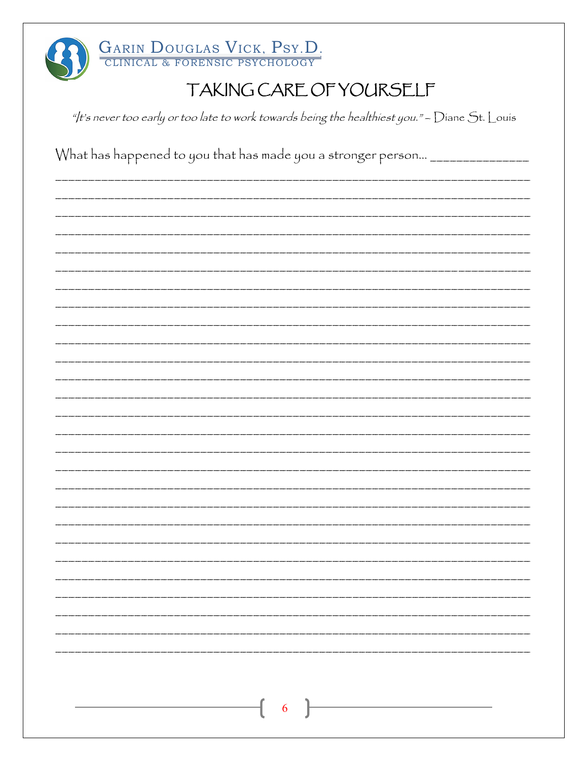

"/t's never too early or too late to work towards being the healthiest you." - Diane St. Louis

What has happened to you that has made you a stronger person... \_\_\_\_\_\_\_\_\_\_\_\_\_\_\_\_ 6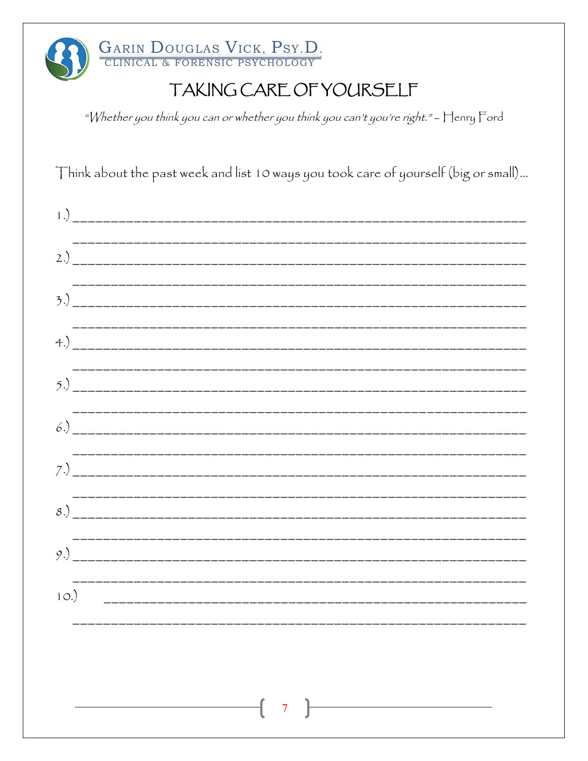GARIN DOUGLAS VICK, PSY.D.

"Whether you think you can or whether you think you can't you're right." - Henry Ford

Think about the past week and list 10 ways you took care of yourself (big or small)...

| 1.   |                                                                                                                                                                                                                                                                                                                                                                                           |  |  |
|------|-------------------------------------------------------------------------------------------------------------------------------------------------------------------------------------------------------------------------------------------------------------------------------------------------------------------------------------------------------------------------------------------|--|--|
| 2.)  |                                                                                                                                                                                                                                                                                                                                                                                           |  |  |
|      | (3.)                                                                                                                                                                                                                                                                                                                                                                                      |  |  |
|      |                                                                                                                                                                                                                                                                                                                                                                                           |  |  |
|      | .<br>Nati manati manati manati manati manati manati manati manati manati manati manati manati manati manati manati m<br><u>5.)</u>                                                                                                                                                                                                                                                        |  |  |
|      |                                                                                                                                                                                                                                                                                                                                                                                           |  |  |
| 7.)  |                                                                                                                                                                                                                                                                                                                                                                                           |  |  |
|      | .<br>In skape skape man skape skape man skape skape man skape man skape man skape man skape man skape man skape man                                                                                                                                                                                                                                                                       |  |  |
| 8.)  |                                                                                                                                                                                                                                                                                                                                                                                           |  |  |
|      |                                                                                                                                                                                                                                                                                                                                                                                           |  |  |
| 10.) |                                                                                                                                                                                                                                                                                                                                                                                           |  |  |
|      |                                                                                                                                                                                                                                                                                                                                                                                           |  |  |
|      |                                                                                                                                                                                                                                                                                                                                                                                           |  |  |
|      | $\begin{array}{ c c c c c }\hline \hspace{1.5cm}& \hspace{1.5cm} & \hspace{1.5cm} & \hspace{1.5cm} & \hspace{1.5cm} & \hspace{1.5cm} & \hspace{1.5cm} & \hspace{1.5cm} & \hspace{1.5cm} & \hspace{1.5cm} & \hspace{1.5cm} & \hspace{1.5cm} & \hspace{1.5cm} & \hspace{1.5cm} & \hspace{1.5cm} & \hspace{1.5cm} & \hspace{1.5cm} & \hspace{1.5cm} & \hspace{1.5cm} & \hspace{1.5cm} & \hs$ |  |  |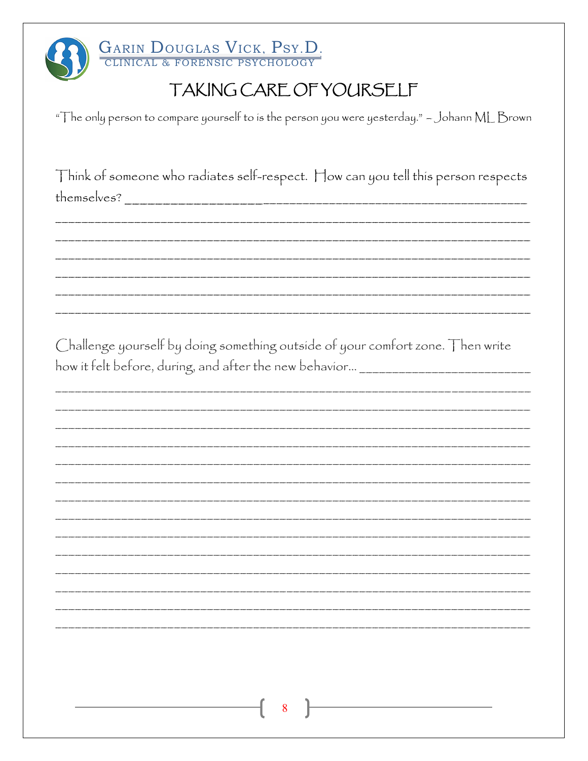

GARIN DOUGLAS VICK, PSY.D.

## TAKING CARE OF YOURSELF

"The only person to compare yourself to is the person you were yesterday." - Johann ML Brown

Think of someone who radiates self-respect. How can you tell this person respects 

Challenge yourself by doing something outside of your comfort zone. Then write how it felt before, during, and after the new behavior... \_\_\_\_\_\_\_\_\_\_\_\_\_\_\_\_\_\_\_\_\_\_\_

| 8 |
|---|
|   |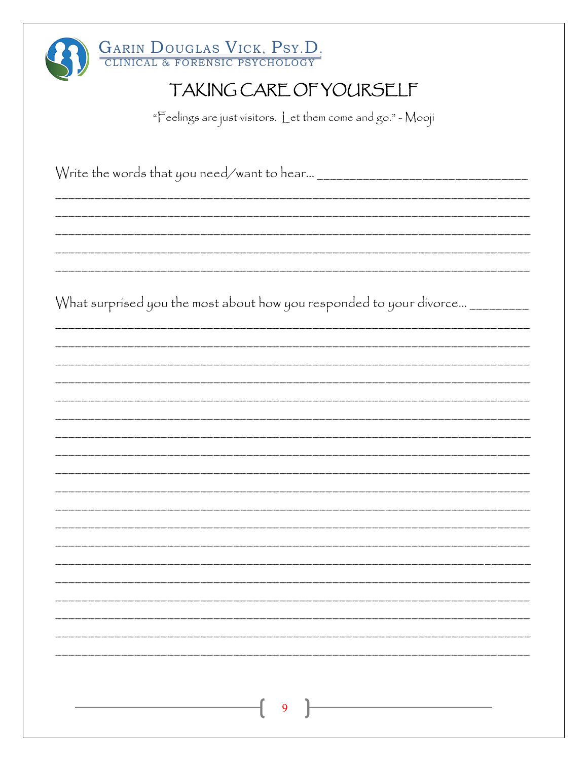| GARIN DOUGLAS VICK, PSY.D.                                                    |
|-------------------------------------------------------------------------------|
| TAKING CARE OF YOURSELF                                                       |
| "Feelings are just visitors. Let them come and go." - Mooji                   |
|                                                                               |
|                                                                               |
|                                                                               |
|                                                                               |
|                                                                               |
|                                                                               |
| What surprised you the most about how you responded to your divorce _________ |
|                                                                               |
|                                                                               |
|                                                                               |
|                                                                               |
|                                                                               |
|                                                                               |
|                                                                               |
|                                                                               |
|                                                                               |
|                                                                               |
|                                                                               |
|                                                                               |
|                                                                               |
| 9                                                                             |
|                                                                               |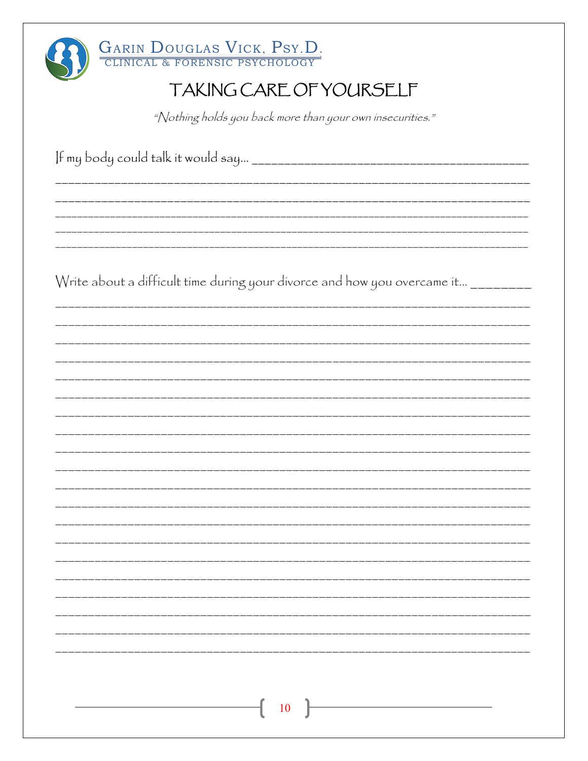| <b>GARIN DOUGLAS VICK, PSY.D.</b><br>CLINICAL & FORENSIC PSYCHOLOGY                |
|------------------------------------------------------------------------------------|
| TAKING CARE OF YOURSELF                                                            |
| "Nothing holds you back more than your own insecurities."                          |
|                                                                                    |
|                                                                                    |
|                                                                                    |
| Write about a difficult time during your divorce and how you overcame it _________ |
|                                                                                    |
|                                                                                    |
|                                                                                    |
|                                                                                    |
|                                                                                    |
|                                                                                    |
|                                                                                    |
|                                                                                    |
|                                                                                    |
|                                                                                    |
|                                                                                    |
|                                                                                    |
| $\begin{bmatrix} 10 \end{bmatrix}$                                                 |
|                                                                                    |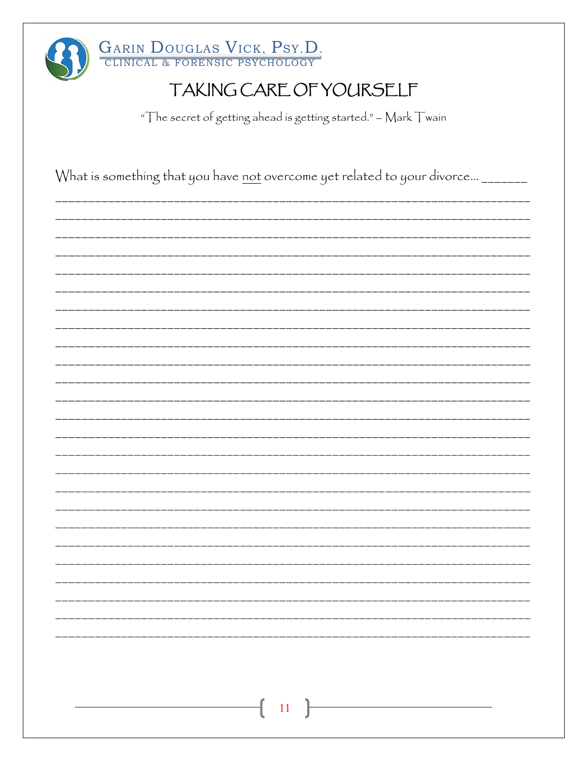| GARIN DOUGLAS VICK, PSY.D.<br>TAKING CARE OF YOURSELF                            |
|----------------------------------------------------------------------------------|
| "The secret of getting ahead is getting started." - Mark Twain                   |
|                                                                                  |
| What is something that you have not overcome yet related to your divorce _______ |
|                                                                                  |
|                                                                                  |
|                                                                                  |
|                                                                                  |
|                                                                                  |
|                                                                                  |
|                                                                                  |
|                                                                                  |
|                                                                                  |
|                                                                                  |
|                                                                                  |
|                                                                                  |
|                                                                                  |
|                                                                                  |
|                                                                                  |
|                                                                                  |
|                                                                                  |
|                                                                                  |
| $11\,$                                                                           |
|                                                                                  |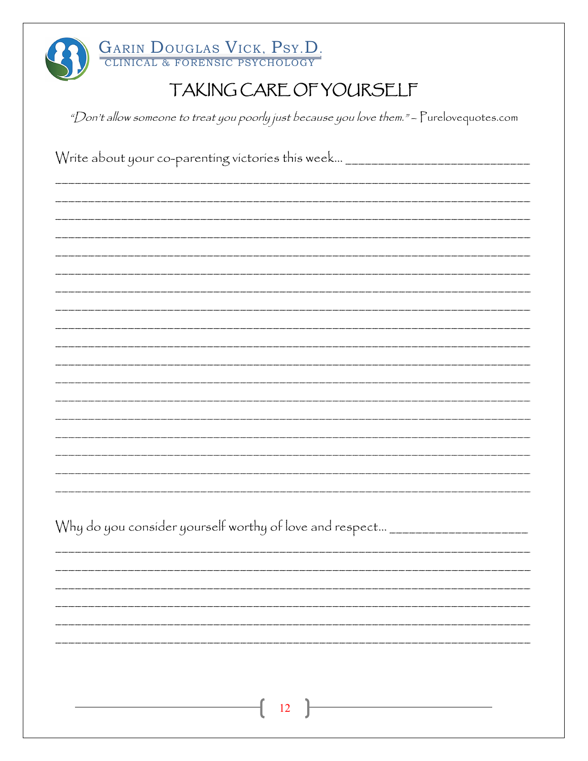| GARIN DOUGLAS VICK, PSY.D.<br>TAKING CARE OF YOURSELF                                      |
|--------------------------------------------------------------------------------------------|
| "Don't allow someone to treat you poorly just because you love them." - Purelovequotes.com |
| Write about your co-parenting victories this week ___________________________              |
|                                                                                            |
|                                                                                            |
|                                                                                            |
|                                                                                            |
|                                                                                            |
|                                                                                            |
|                                                                                            |
|                                                                                            |
|                                                                                            |
|                                                                                            |
|                                                                                            |
|                                                                                            |
|                                                                                            |
|                                                                                            |
|                                                                                            |
| Why do you consider yourself worthy of love and respect _____________________              |
|                                                                                            |
|                                                                                            |
|                                                                                            |
|                                                                                            |
|                                                                                            |
|                                                                                            |

 $\begin{array}{c} \begin{array}{c} \hline \end{array} \end{array}$  12  $\begin{array}{c} \end{array}$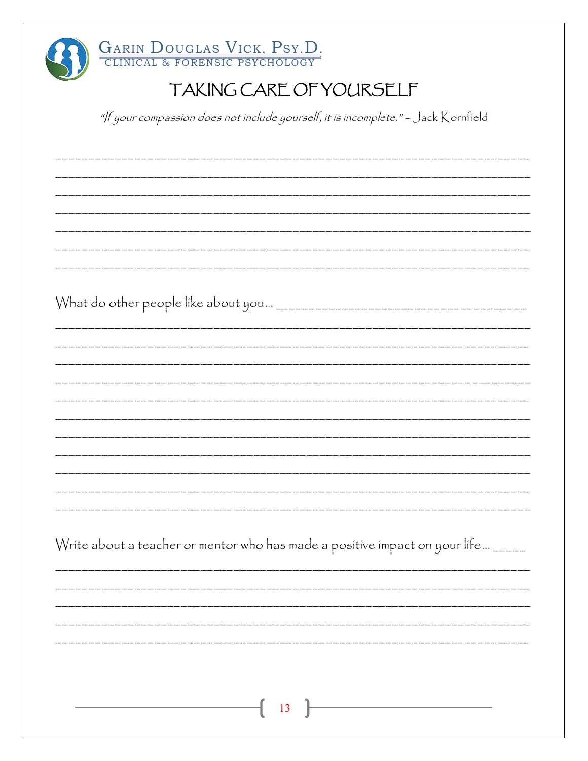| <b>GARIN DOUGLAS VICK, PSY.D.</b><br>CLINICAL & FORENSIC PSYCHOLOGY                |
|------------------------------------------------------------------------------------|
| TAKING CARE OF YOURSELF                                                            |
| "/f your compassion does not include yourself, it is incomplete." - Jack Kornfield |
|                                                                                    |
|                                                                                    |
|                                                                                    |
|                                                                                    |
|                                                                                    |
|                                                                                    |
|                                                                                    |
|                                                                                    |
|                                                                                    |
|                                                                                    |
|                                                                                    |
|                                                                                    |
|                                                                                    |
|                                                                                    |
|                                                                                    |
| Write about a teacher or mentor who has made a positive impact on your life ____   |
|                                                                                    |
|                                                                                    |
|                                                                                    |
|                                                                                    |
|                                                                                    |
| 13                                                                                 |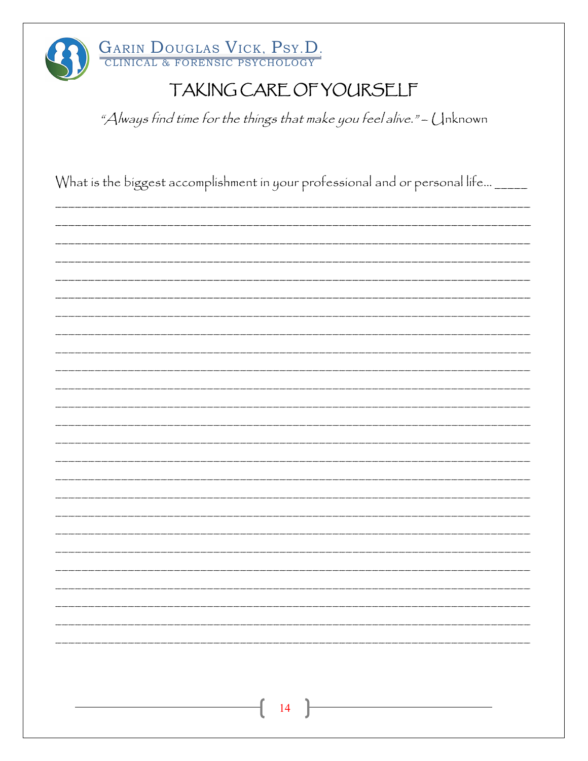| GARIN DOUGLAS VICK, PSY.D.<br>TAKING CARE OF YOURSELF<br>"Always find time for the things that make you feel alive." - Unknown |
|--------------------------------------------------------------------------------------------------------------------------------|
| What is the biggest accomplishment in your professional and or personal life ____                                              |
|                                                                                                                                |
|                                                                                                                                |
|                                                                                                                                |
|                                                                                                                                |
|                                                                                                                                |
|                                                                                                                                |
|                                                                                                                                |
| 14                                                                                                                             |